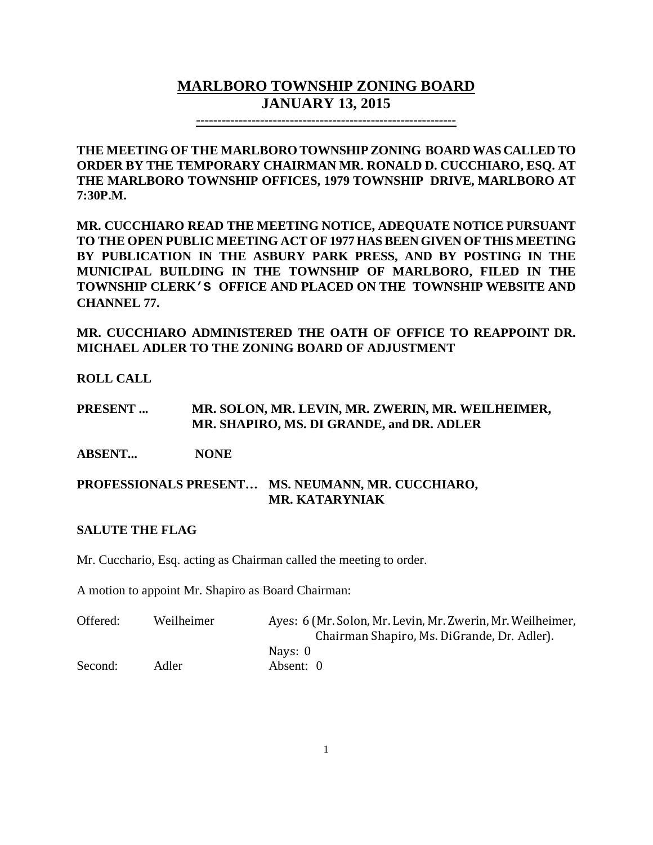# **MARLBORO TOWNSHIP ZONING BOARD JANUARY 13, 2015**

**-------------------------------------------------------------**

**THE MEETING OF THE MARLBORO TOWNSHIP ZONING BOARD WAS CALLED TO ORDER BY THE TEMPORARY CHAIRMAN MR. RONALD D. CUCCHIARO, ESQ. AT THE MARLBORO TOWNSHIP OFFICES, 1979 TOWNSHIP DRIVE, MARLBORO AT 7:30P.M.**

**MR. CUCCHIARO READ THE MEETING NOTICE, ADEQUATE NOTICE PURSUANT TO THE OPEN PUBLIC MEETING ACT OF 1977 HAS BEEN GIVEN OF THIS MEETING BY PUBLICATION IN THE ASBURY PARK PRESS, AND BY POSTING IN THE MUNICIPAL BUILDING IN THE TOWNSHIP OF MARLBORO, FILED IN THE TOWNSHIP CLERK'S OFFICE AND PLACED ON THE TOWNSHIP WEBSITE AND CHANNEL 77.**

**MR. CUCCHIARO ADMINISTERED THE OATH OF OFFICE TO REAPPOINT DR. MICHAEL ADLER TO THE ZONING BOARD OF ADJUSTMENT**

**ROLL CALL**

**PRESENT ... MR. SOLON, MR. LEVIN, MR. ZWERIN, MR. WEILHEIMER, MR. SHAPIRO, MS. DI GRANDE, and DR. ADLER**

**ABSENT... NONE**

**PROFESSIONALS PRESENT… MS. NEUMANN, MR. CUCCHIARO, MR. KATARYNIAK**

#### **SALUTE THE FLAG**

Mr. Cucchario, Esq. acting as Chairman called the meeting to order.

A motion to appoint Mr. Shapiro as Board Chairman:

| Offered: | Weilheimer | Ayes: 6 (Mr. Solon, Mr. Levin, Mr. Zwerin, Mr. Weilheimer, |
|----------|------------|------------------------------------------------------------|
|          |            | Chairman Shapiro, Ms. DiGrande, Dr. Adler).                |
|          |            | Navs: 0                                                    |
| Second:  | Adler      | Absent: 0                                                  |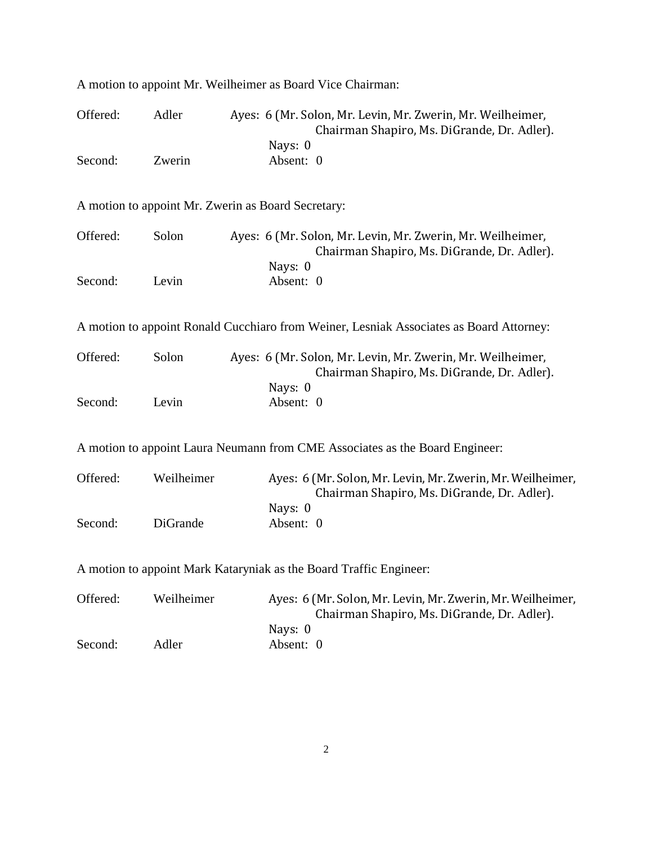| Offered:                                                                     | Adler      |  | Ayes: 6 (Mr. Solon, Mr. Levin, Mr. Zwerin, Mr. Weilheimer,<br>Chairman Shapiro, Ms. DiGrande, Dr. Adler). |  |  |  |
|------------------------------------------------------------------------------|------------|--|-----------------------------------------------------------------------------------------------------------|--|--|--|
| Second:                                                                      | Zwerin     |  | Nays: 0<br>Absent: 0                                                                                      |  |  |  |
| A motion to appoint Mr. Zwerin as Board Secretary:                           |            |  |                                                                                                           |  |  |  |
| Offered:                                                                     | Solon      |  | Ayes: 6 (Mr. Solon, Mr. Levin, Mr. Zwerin, Mr. Weilheimer,<br>Chairman Shapiro, Ms. DiGrande, Dr. Adler). |  |  |  |
| Second:                                                                      | Levin      |  | Nays: 0<br>Absent: 0                                                                                      |  |  |  |
|                                                                              |            |  | A motion to appoint Ronald Cucchiaro from Weiner, Lesniak Associates as Board Attorney:                   |  |  |  |
| Offered:                                                                     | Solon      |  | Ayes: 6 (Mr. Solon, Mr. Levin, Mr. Zwerin, Mr. Weilheimer,<br>Chairman Shapiro, Ms. DiGrande, Dr. Adler). |  |  |  |
| Second:                                                                      | Levin      |  | Nays: 0<br>Absent: 0                                                                                      |  |  |  |
| A motion to appoint Laura Neumann from CME Associates as the Board Engineer: |            |  |                                                                                                           |  |  |  |
| Offered:                                                                     | Weilheimer |  | Ayes: 6 (Mr. Solon, Mr. Levin, Mr. Zwerin, Mr. Weilheimer,<br>Chairman Shapiro, Ms. DiGrande, Dr. Adler). |  |  |  |
| Second:                                                                      | DiGrande   |  | Nays: 0<br>Absent: 0                                                                                      |  |  |  |
|                                                                              |            |  | A motion to appoint Mark Kataryniak as the Board Traffic Engineer:                                        |  |  |  |
| Offered:                                                                     | Weilheimer |  | Ayes: 6 (Mr. Solon, Mr. Levin, Mr. Zwerin, Mr. Weilheimer,<br>Chairman Shapiro, Ms. DiGrande, Dr. Adler). |  |  |  |

A motion to appoint Mr. Weilheimer as Board Vice Chairman:

2

Nays: 0

Second: Adler Absent: 0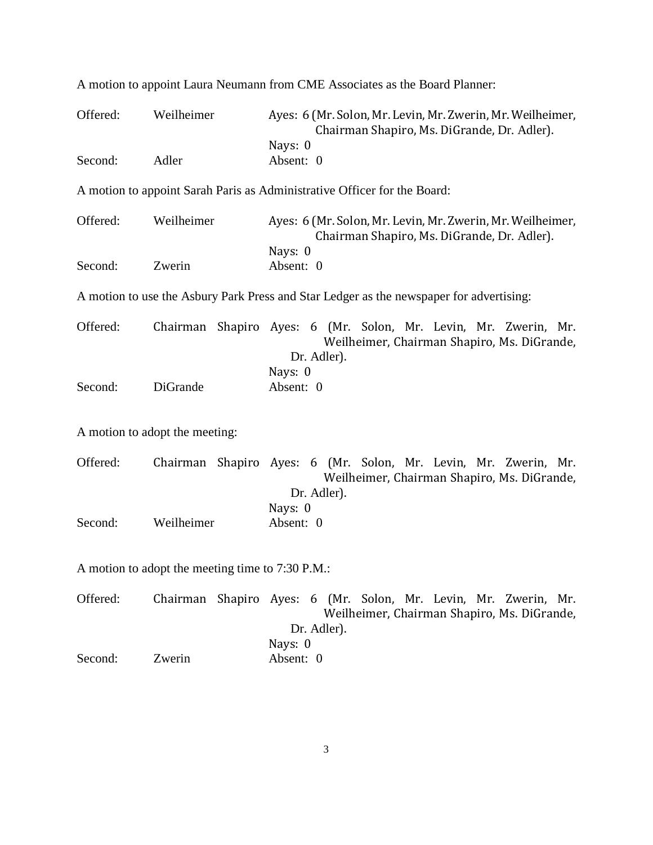| Offered:                                         | Weilheimer                     | Ayes: 6 (Mr. Solon, Mr. Levin, Mr. Zwerin, Mr. Weilheimer,<br>Chairman Shapiro, Ms. DiGrande, Dr. Adler).                     |  |  |
|--------------------------------------------------|--------------------------------|-------------------------------------------------------------------------------------------------------------------------------|--|--|
| Second:                                          | Adler                          | Nays: 0<br>Absent: 0                                                                                                          |  |  |
|                                                  |                                | A motion to appoint Sarah Paris as Administrative Officer for the Board:                                                      |  |  |
| Offered:                                         | Weilheimer                     | Ayes: 6 (Mr. Solon, Mr. Levin, Mr. Zwerin, Mr. Weilheimer,<br>Chairman Shapiro, Ms. DiGrande, Dr. Adler).                     |  |  |
| Second:                                          | Zwerin                         | Nays: 0<br>Absent: 0                                                                                                          |  |  |
|                                                  |                                | A motion to use the Asbury Park Press and Star Ledger as the newspaper for advertising:                                       |  |  |
| Offered:                                         |                                | Chairman Shapiro Ayes: 6 (Mr. Solon, Mr. Levin, Mr. Zwerin, Mr.<br>Weilheimer, Chairman Shapiro, Ms. DiGrande,<br>Dr. Adler). |  |  |
| Second:                                          | DiGrande                       | Nays: 0<br>Absent: 0                                                                                                          |  |  |
|                                                  | A motion to adopt the meeting: |                                                                                                                               |  |  |
| Offered:                                         |                                | Chairman Shapiro Ayes: 6 (Mr. Solon, Mr. Levin, Mr. Zwerin, Mr.<br>Weilheimer, Chairman Shapiro, Ms. DiGrande,<br>Dr. Adler). |  |  |
| Second:                                          | Weilheimer                     | Nays: 0<br>Absent: 0                                                                                                          |  |  |
| A motion to adopt the meeting time to 7:30 P.M.: |                                |                                                                                                                               |  |  |
| Offered:                                         |                                | Chairman Shapiro Ayes: 6 (Mr. Solon, Mr. Levin, Mr. Zwerin, Mr.                                                               |  |  |

A motion to appoint Laura Neumann from CME Associates as the Board Planner:

Offered: Chairman Shapiro Ayes: 6 (Mr. Solon, Mr. Levin, Mr. Zwerin, Mr. Weilheimer, Chairman Shapiro, Ms. DiGrande, Dr. Adler). Nays: 0 Second: Zwerin Absent: 0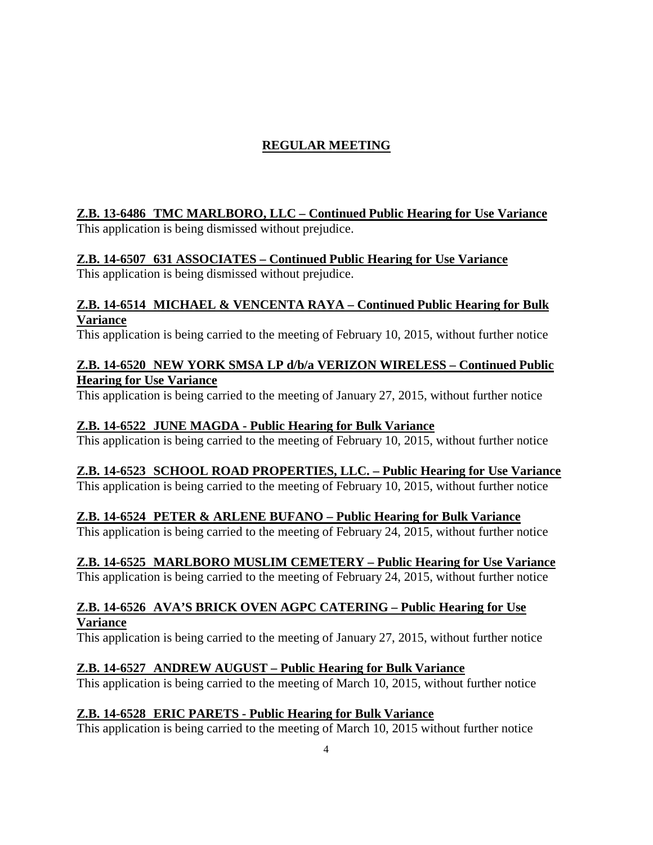# **REGULAR MEETING**

### **Z.B. 13-6486 TMC MARLBORO, LLC – Continued Public Hearing for Use Variance**

This application is being dismissed without prejudice.

## **Z.B. 14-6507 631 ASSOCIATES – Continued Public Hearing for Use Variance**

This application is being dismissed without prejudice.

#### **Z.B. 14-6514 MICHAEL & VENCENTA RAYA – Continued Public Hearing for Bulk Variance**

This application is being carried to the meeting of February 10, 2015, without further notice

### **Z.B. 14-6520 NEW YORK SMSA LP d/b/a VERIZON WIRELESS – Continued Public Hearing for Use Variance**

This application is being carried to the meeting of January 27, 2015, without further notice

### **Z.B. 14-6522 JUNE MAGDA - Public Hearing for Bulk Variance**

This application is being carried to the meeting of February 10, 2015, without further notice

## **Z.B. 14-6523 SCHOOL ROAD PROPERTIES, LLC. – Public Hearing for Use Variance**

This application is being carried to the meeting of February 10, 2015, without further notice

### **Z.B. 14-6524 PETER & ARLENE BUFANO – Public Hearing for Bulk Variance**

This application is being carried to the meeting of February 24, 2015, without further notice

## **Z.B. 14-6525 MARLBORO MUSLIM CEMETERY – Public Hearing for Use Variance**

This application is being carried to the meeting of February 24, 2015, without further notice

### **Z.B. 14-6526 AVA'S BRICK OVEN AGPC CATERING – Public Hearing for Use Variance**

This application is being carried to the meeting of January 27, 2015, without further notice

## **Z.B. 14-6527 ANDREW AUGUST – Public Hearing for Bulk Variance**

This application is being carried to the meeting of March 10, 2015, without further notice

## **Z.B. 14-6528 ERIC PARETS - Public Hearing for Bulk Variance**

This application is being carried to the meeting of March 10, 2015 without further notice